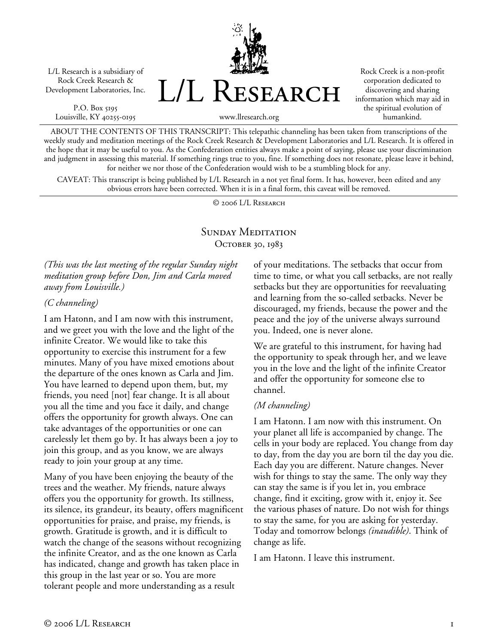L/L Research is a subsidiary of Rock Creek Research & Development Laboratories, Inc.

P.O. Box 5195 Louisville, KY 40255-0195 L/L Research

Rock Creek is a non-profit corporation dedicated to discovering and sharing information which may aid in the spiritual evolution of humankind.

www.llresearch.org

ABOUT THE CONTENTS OF THIS TRANSCRIPT: This telepathic channeling has been taken from transcriptions of the weekly study and meditation meetings of the Rock Creek Research & Development Laboratories and L/L Research. It is offered in the hope that it may be useful to you. As the Confederation entities always make a point of saying, please use your discrimination and judgment in assessing this material. If something rings true to you, fine. If something does not resonate, please leave it behind, for neither we nor those of the Confederation would wish to be a stumbling block for any.

CAVEAT: This transcript is being published by L/L Research in a not yet final form. It has, however, been edited and any obvious errors have been corrected. When it is in a final form, this caveat will be removed.

© 2006 L/L Research

## SUNDAY MEDITATION OCTOBER 30, 1983

*(This was the last meeting of the regular Sunday night meditation group before Don, Jim and Carla moved away from Louisville.)* 

#### *(C channeling)*

I am Hatonn, and I am now with this instrument, and we greet you with the love and the light of the infinite Creator. We would like to take this opportunity to exercise this instrument for a few minutes. Many of you have mixed emotions about the departure of the ones known as Carla and Jim. You have learned to depend upon them, but, my friends, you need [not] fear change. It is all about you all the time and you face it daily, and change offers the opportunity for growth always. One can take advantages of the opportunities or one can carelessly let them go by. It has always been a joy to join this group, and as you know, we are always ready to join your group at any time.

Many of you have been enjoying the beauty of the trees and the weather. My friends, nature always offers you the opportunity for growth. Its stillness, its silence, its grandeur, its beauty, offers magnificent opportunities for praise, and praise, my friends, is growth. Gratitude is growth, and it is difficult to watch the change of the seasons without recognizing the infinite Creator, and as the one known as Carla has indicated, change and growth has taken place in this group in the last year or so. You are more tolerant people and more understanding as a result

of your meditations. The setbacks that occur from time to time, or what you call setbacks, are not really setbacks but they are opportunities for reevaluating and learning from the so-called setbacks. Never be discouraged, my friends, because the power and the peace and the joy of the universe always surround you. Indeed, one is never alone.

We are grateful to this instrument, for having had the opportunity to speak through her, and we leave you in the love and the light of the infinite Creator and offer the opportunity for someone else to channel.

### *(M channeling)*

I am Hatonn. I am now with this instrument. On your planet all life is accompanied by change. The cells in your body are replaced. You change from day to day, from the day you are born til the day you die. Each day you are different. Nature changes. Never wish for things to stay the same. The only way they can stay the same is if you let in, you embrace change, find it exciting, grow with it, enjoy it. See the various phases of nature. Do not wish for things to stay the same, for you are asking for yesterday. Today and tomorrow belongs *(inaudible)*. Think of change as life.

I am Hatonn. I leave this instrument.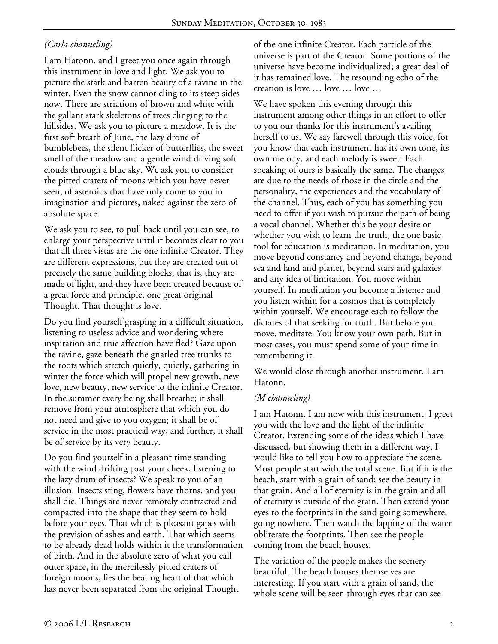# *(Carla channeling)*

I am Hatonn, and I greet you once again through this instrument in love and light. We ask you to picture the stark and barren beauty of a ravine in the winter. Even the snow cannot cling to its steep sides now. There are striations of brown and white with the gallant stark skeletons of trees clinging to the hillsides. We ask you to picture a meadow. It is the first soft breath of June, the lazy drone of bumblebees, the silent flicker of butterflies, the sweet smell of the meadow and a gentle wind driving soft clouds through a blue sky. We ask you to consider the pitted craters of moons which you have never seen, of asteroids that have only come to you in imagination and pictures, naked against the zero of absolute space.

We ask you to see, to pull back until you can see, to enlarge your perspective until it becomes clear to you that all three vistas are the one infinite Creator. They are different expressions, but they are created out of precisely the same building blocks, that is, they are made of light, and they have been created because of a great force and principle, one great original Thought. That thought is love.

Do you find yourself grasping in a difficult situation, listening to useless advice and wondering where inspiration and true affection have fled? Gaze upon the ravine, gaze beneath the gnarled tree trunks to the roots which stretch quietly, quietly, gathering in winter the force which will propel new growth, new love, new beauty, new service to the infinite Creator. In the summer every being shall breathe; it shall remove from your atmosphere that which you do not need and give to you oxygen; it shall be of service in the most practical way, and further, it shall be of service by its very beauty.

Do you find yourself in a pleasant time standing with the wind drifting past your cheek, listening to the lazy drum of insects? We speak to you of an illusion. Insects sting, flowers have thorns, and you shall die. Things are never remotely contracted and compacted into the shape that they seem to hold before your eyes. That which is pleasant gapes with the prevision of ashes and earth. That which seems to be already dead holds within it the transformation of birth. And in the absolute zero of what you call outer space, in the mercilessly pitted craters of foreign moons, lies the beating heart of that which has never been separated from the original Thought

of the one infinite Creator. Each particle of the universe is part of the Creator. Some portions of the universe have become individualized; a great deal of it has remained love. The resounding echo of the creation is love … love … love …

We have spoken this evening through this instrument among other things in an effort to offer to you our thanks for this instrument's availing herself to us. We say farewell through this voice, for you know that each instrument has its own tone, its own melody, and each melody is sweet. Each speaking of ours is basically the same. The changes are due to the needs of those in the circle and the personality, the experiences and the vocabulary of the channel. Thus, each of you has something you need to offer if you wish to pursue the path of being a vocal channel. Whether this be your desire or whether you wish to learn the truth, the one basic tool for education is meditation. In meditation, you move beyond constancy and beyond change, beyond sea and land and planet, beyond stars and galaxies and any idea of limitation. You move within yourself. In meditation you become a listener and you listen within for a cosmos that is completely within yourself. We encourage each to follow the dictates of that seeking for truth. But before you move, meditate. You know your own path. But in most cases, you must spend some of your time in remembering it.

We would close through another instrument. I am Hatonn.

## *(M channeling)*

I am Hatonn. I am now with this instrument. I greet you with the love and the light of the infinite Creator. Extending some of the ideas which I have discussed, but showing them in a different way, I would like to tell you how to appreciate the scene. Most people start with the total scene. But if it is the beach, start with a grain of sand; see the beauty in that grain. And all of eternity is in the grain and all of eternity is outside of the grain. Then extend your eyes to the footprints in the sand going somewhere, going nowhere. Then watch the lapping of the water obliterate the footprints. Then see the people coming from the beach houses.

The variation of the people makes the scenery beautiful. The beach houses themselves are interesting. If you start with a grain of sand, the whole scene will be seen through eyes that can see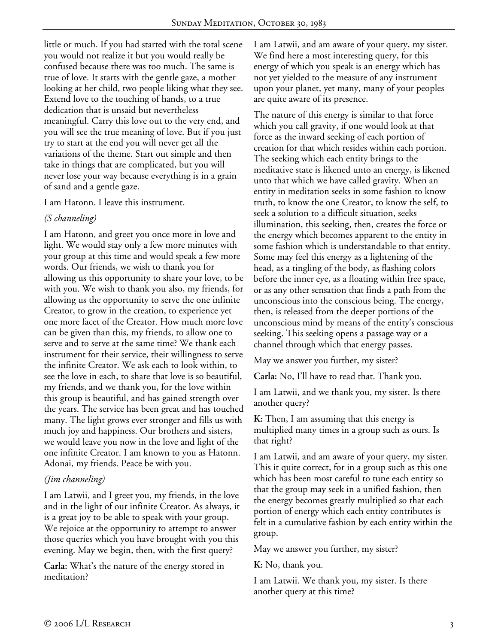little or much. If you had started with the total scene you would not realize it but you would really be confused because there was too much. The same is true of love. It starts with the gentle gaze, a mother looking at her child, two people liking what they see. Extend love to the touching of hands, to a true dedication that is unsaid but nevertheless meaningful. Carry this love out to the very end, and you will see the true meaning of love. But if you just try to start at the end you will never get all the variations of the theme. Start out simple and then take in things that are complicated, but you will never lose your way because everything is in a grain of sand and a gentle gaze.

I am Hatonn. I leave this instrument.

### *(S channeling)*

I am Hatonn, and greet you once more in love and light. We would stay only a few more minutes with your group at this time and would speak a few more words. Our friends, we wish to thank you for allowing us this opportunity to share your love, to be with you. We wish to thank you also, my friends, for allowing us the opportunity to serve the one infinite Creator, to grow in the creation, to experience yet one more facet of the Creator. How much more love can be given than this, my friends, to allow one to serve and to serve at the same time? We thank each instrument for their service, their willingness to serve the infinite Creator. We ask each to look within, to see the love in each, to share that love is so beautiful, my friends, and we thank you, for the love within this group is beautiful, and has gained strength over the years. The service has been great and has touched many. The light grows ever stronger and fills us with much joy and happiness. Our brothers and sisters, we would leave you now in the love and light of the one infinite Creator. I am known to you as Hatonn. Adonai, my friends. Peace be with you.

## *(Jim channeling)*

I am Latwii, and I greet you, my friends, in the love and in the light of our infinite Creator. As always, it is a great joy to be able to speak with your group. We rejoice at the opportunity to attempt to answer those queries which you have brought with you this evening. May we begin, then, with the first query?

**Carla:** What's the nature of the energy stored in meditation?

I am Latwii, and am aware of your query, my sister. We find here a most interesting query, for this energy of which you speak is an energy which has not yet yielded to the measure of any instrument upon your planet, yet many, many of your peoples are quite aware of its presence.

The nature of this energy is similar to that force which you call gravity, if one would look at that force as the inward seeking of each portion of creation for that which resides within each portion. The seeking which each entity brings to the meditative state is likened unto an energy, is likened unto that which we have called gravity. When an entity in meditation seeks in some fashion to know truth, to know the one Creator, to know the self, to seek a solution to a difficult situation, seeks illumination, this seeking, then, creates the force or the energy which becomes apparent to the entity in some fashion which is understandable to that entity. Some may feel this energy as a lightening of the head, as a tingling of the body, as flashing colors before the inner eye, as a floating within free space, or as any other sensation that finds a path from the unconscious into the conscious being. The energy, then, is released from the deeper portions of the unconscious mind by means of the entity's conscious seeking. This seeking opens a passage way or a channel through which that energy passes.

May we answer you further, my sister?

**Carla:** No, I'll have to read that. Thank you.

I am Latwii, and we thank you, my sister. Is there another query?

**K:** Then, I am assuming that this energy is multiplied many times in a group such as ours. Is that right?

I am Latwii, and am aware of your query, my sister. This it quite correct, for in a group such as this one which has been most careful to tune each entity so that the group may seek in a unified fashion, then the energy becomes greatly multiplied so that each portion of energy which each entity contributes is felt in a cumulative fashion by each entity within the group.

May we answer you further, my sister?

**K:** No, thank you.

I am Latwii. We thank you, my sister. Is there another query at this time?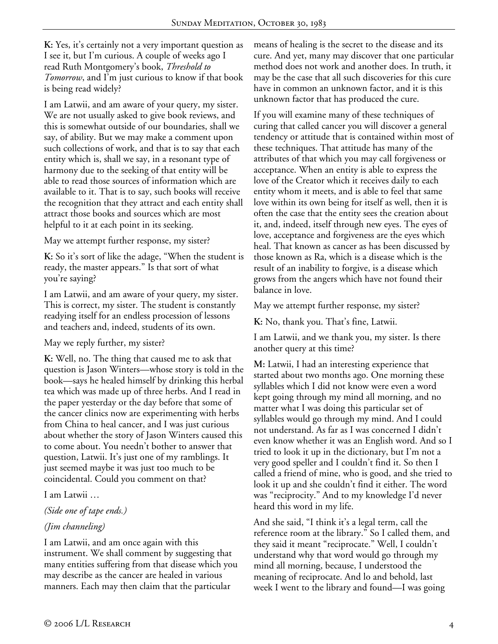**K:** Yes, it's certainly not a very important question as I see it, but I'm curious. A couple of weeks ago I read Ruth Montgomery's book, *Threshold to Tomorrow*, and I'm just curious to know if that book is being read widely?

I am Latwii, and am aware of your query, my sister. We are not usually asked to give book reviews, and this is somewhat outside of our boundaries, shall we say, of ability. But we may make a comment upon such collections of work, and that is to say that each entity which is, shall we say, in a resonant type of harmony due to the seeking of that entity will be able to read those sources of information which are available to it. That is to say, such books will receive the recognition that they attract and each entity shall attract those books and sources which are most helpful to it at each point in its seeking.

May we attempt further response, my sister?

**K:** So it's sort of like the adage, "When the student is ready, the master appears." Is that sort of what you're saying?

I am Latwii, and am aware of your query, my sister. This is correct, my sister. The student is constantly readying itself for an endless procession of lessons and teachers and, indeed, students of its own.

May we reply further, my sister?

**K:** Well, no. The thing that caused me to ask that question is Jason Winters—whose story is told in the book—says he healed himself by drinking this herbal tea which was made up of three herbs. And I read in the paper yesterday or the day before that some of the cancer clinics now are experimenting with herbs from China to heal cancer, and I was just curious about whether the story of Jason Winters caused this to come about. You needn't bother to answer that question, Latwii. It's just one of my ramblings. It just seemed maybe it was just too much to be coincidental. Could you comment on that?

I am Latwii …

*(Side one of tape ends.)* 

## *(Jim channeling)*

I am Latwii, and am once again with this instrument. We shall comment by suggesting that many entities suffering from that disease which you may describe as the cancer are healed in various manners. Each may then claim that the particular

means of healing is the secret to the disease and its cure. And yet, many may discover that one particular method does not work and another does. In truth, it may be the case that all such discoveries for this cure have in common an unknown factor, and it is this unknown factor that has produced the cure.

If you will examine many of these techniques of curing that called cancer you will discover a general tendency or attitude that is contained within most of these techniques. That attitude has many of the attributes of that which you may call forgiveness or acceptance. When an entity is able to express the love of the Creator which it receives daily to each entity whom it meets, and is able to feel that same love within its own being for itself as well, then it is often the case that the entity sees the creation about it, and, indeed, itself through new eyes. The eyes of love, acceptance and forgiveness are the eyes which heal. That known as cancer as has been discussed by those known as Ra, which is a disease which is the result of an inability to forgive, is a disease which grows from the angers which have not found their balance in love.

May we attempt further response, my sister?

**K:** No, thank you. That's fine, Latwii.

I am Latwii, and we thank you, my sister. Is there another query at this time?

**M:** Latwii, I had an interesting experience that started about two months ago. One morning these syllables which I did not know were even a word kept going through my mind all morning, and no matter what I was doing this particular set of syllables would go through my mind. And I could not understand. As far as I was concerned I didn't even know whether it was an English word. And so I tried to look it up in the dictionary, but I'm not a very good speller and I couldn't find it. So then I called a friend of mine, who is good, and she tried to look it up and she couldn't find it either. The word was "reciprocity." And to my knowledge I'd never heard this word in my life.

And she said, "I think it's a legal term, call the reference room at the library." So I called them, and they said it meant "reciprocate." Well, I couldn't understand why that word would go through my mind all morning, because, I understood the meaning of reciprocate. And lo and behold, last week I went to the library and found—I was going